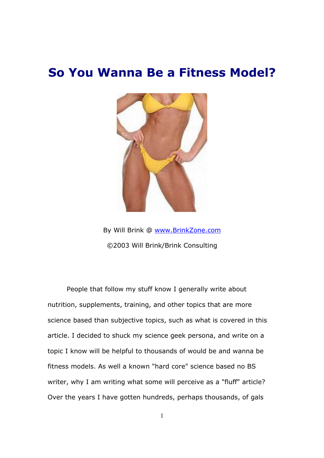# **So You Wanna Be a Fitness Model?**



By Will Brink @ www.BrinkZone.com ©2003 Will Brink/Brink Consulting

People that follow my stuff know I generally write about nutrition, supplements, training, and other topics that are more science based than subjective topics, such as what is covered in this article. I decided to shuck my science geek persona, and write on a topic I know will be helpful to thousands of would be and wanna be fitness models. As well a known "hard core" science based no BS writer, why I am writing what some will perceive as a "fluff" article? Over the years I have gotten hundreds, perhaps thousands, of gals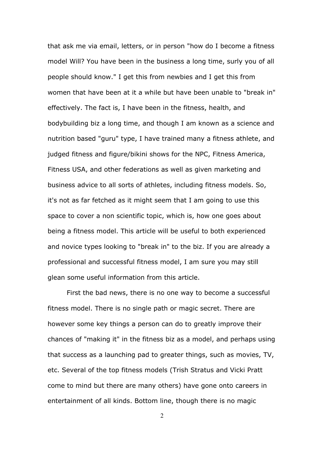that ask me via email, letters, or in person "how do I become a fitness model Will? You have been in the business a long time, surly you of all people should know." I get this from newbies and I get this from women that have been at it a while but have been unable to "break in" effectively. The fact is, I have been in the fitness, health, and bodybuilding biz a long time, and though I am known as a science and nutrition based "guru" type, I have trained many a fitness athlete, and judged fitness and figure/bikini shows for the NPC, Fitness America, Fitness USA, and other federations as well as given marketing and business advice to all sorts of athletes, including fitness models. So, it's not as far fetched as it might seem that I am going to use this space to cover a non scientific topic, which is, how one goes about being a fitness model. This article will be useful to both experienced and novice types looking to "break in" to the biz. If you are already a professional and successful fitness model, I am sure you may still glean some useful information from this article.

First the bad news, there is no one way to become a successful fitness model. There is no single path or magic secret. There are however some key things a person can do to greatly improve their chances of "making it" in the fitness biz as a model, and perhaps using that success as a launching pad to greater things, such as movies, TV, etc. Several of the top fitness models (Trish Stratus and Vicki Pratt come to mind but there are many others) have gone onto careers in entertainment of all kinds. Bottom line, though there is no magic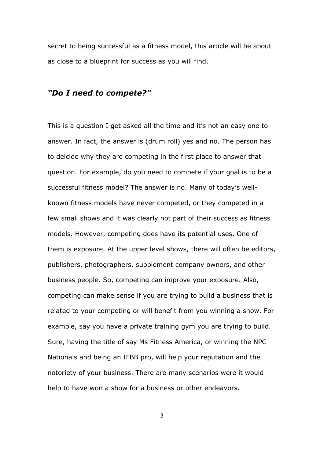secret to being successful as a fitness model, this article will be about as close to a blueprint for success as you will find.

# *"Do I need to compete?"*

This is a question I get asked all the time and it's not an easy one to answer. In fact, the answer is (drum roll) yes and no. The person has to deicide why they are competing in the first place to answer that question. For example, do you need to compete if your goal is to be a successful fitness model? The answer is no. Many of today's wellknown fitness models have never competed, or they competed in a few small shows and it was clearly not part of their success as fitness models. However, competing does have its potential uses. One of them is exposure. At the upper level shows, there will often be editors, publishers, photographers, supplement company owners, and other business people. So, competing can improve your exposure. Also, competing can make sense if you are trying to build a business that is related to your competing or will benefit from you winning a show. For example, say you have a private training gym you are trying to build. Sure, having the title of say Ms Fitness America, or winning the NPC Nationals and being an IFBB pro, will help your reputation and the notoriety of your business. There are many scenarios were it would help to have won a show for a business or other endeavors.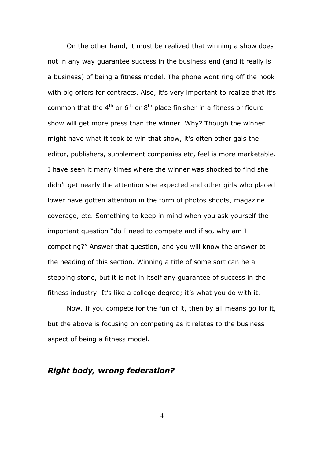On the other hand, it must be realized that winning a show does not in any way guarantee success in the business end (and it really is a business) of being a fitness model. The phone wont ring off the hook with big offers for contracts. Also, it's very important to realize that it's common that the  $4<sup>th</sup>$  or  $6<sup>th</sup>$  or  $8<sup>th</sup>$  place finisher in a fitness or figure show will get more press than the winner. Why? Though the winner might have what it took to win that show, it's often other gals the editor, publishers, supplement companies etc, feel is more marketable. I have seen it many times where the winner was shocked to find she didn't get nearly the attention she expected and other girls who placed lower have gotten attention in the form of photos shoots, magazine coverage, etc. Something to keep in mind when you ask yourself the important question "do I need to compete and if so, why am I competing?" Answer that question, and you will know the answer to the heading of this section. Winning a title of some sort can be a stepping stone, but it is not in itself any guarantee of success in the fitness industry. It's like a college degree; it's what you do with it.

Now. If you compete for the fun of it, then by all means go for it, but the above is focusing on competing as it relates to the business aspect of being a fitness model.

# *Right body, wrong federation?*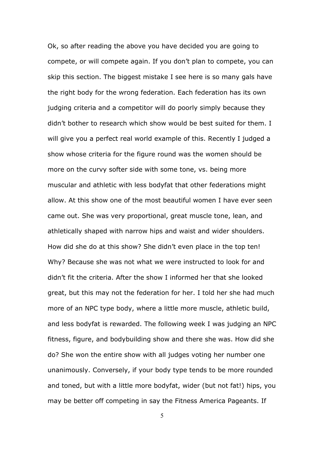Ok, so after reading the above you have decided you are going to compete, or will compete again. If you don't plan to compete, you can skip this section. The biggest mistake I see here is so many gals have the right body for the wrong federation. Each federation has its own judging criteria and a competitor will do poorly simply because they didn't bother to research which show would be best suited for them. I will give you a perfect real world example of this. Recently I judged a show whose criteria for the figure round was the women should be more on the curvy softer side with some tone, vs. being more muscular and athletic with less bodyfat that other federations might allow. At this show one of the most beautiful women I have ever seen came out. She was very proportional, great muscle tone, lean, and athletically shaped with narrow hips and waist and wider shoulders. How did she do at this show? She didn't even place in the top ten! Why? Because she was not what we were instructed to look for and didn't fit the criteria. After the show I informed her that she looked great, but this may not the federation for her. I told her she had much more of an NPC type body, where a little more muscle, athletic build, and less bodyfat is rewarded. The following week I was judging an NPC fitness, figure, and bodybuilding show and there she was. How did she do? She won the entire show with all judges voting her number one unanimously. Conversely, if your body type tends to be more rounded and toned, but with a little more bodyfat, wider (but not fat!) hips, you may be better off competing in say the Fitness America Pageants. If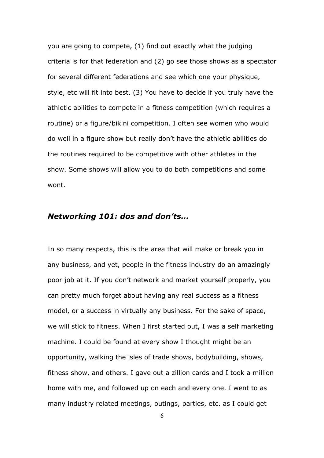you are going to compete, (1) find out exactly what the judging criteria is for that federation and (2) go see those shows as a spectator for several different federations and see which one your physique, style, etc will fit into best. (3) You have to decide if you truly have the athletic abilities to compete in a fitness competition (which requires a routine) or a figure/bikini competition. I often see women who would do well in a figure show but really don't have the athletic abilities do the routines required to be competitive with other athletes in the show. Some shows will allow you to do both competitions and some wont.

## *Networking 101: dos and don'ts…*

In so many respects, this is the area that will make or break you in any business, and yet, people in the fitness industry do an amazingly poor job at it. If you don't network and market yourself properly, you can pretty much forget about having any real success as a fitness model, or a success in virtually any business. For the sake of space, we will stick to fitness. When I first started out, I was a self marketing machine. I could be found at every show I thought might be an opportunity, walking the isles of trade shows, bodybuilding, shows, fitness show, and others. I gave out a zillion cards and I took a million home with me, and followed up on each and every one. I went to as many industry related meetings, outings, parties, etc. as I could get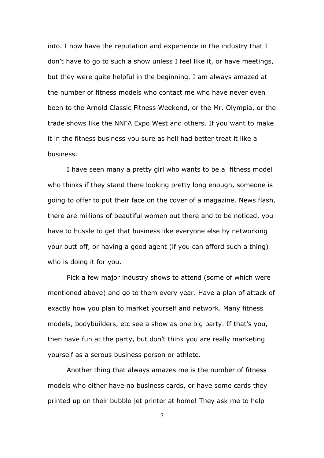into. I now have the reputation and experience in the industry that I don't have to go to such a show unless I feel like it, or have meetings, but they were quite helpful in the beginning. I am always amazed at the number of fitness models who contact me who have never even been to the Arnold Classic Fitness Weekend, or the Mr. Olympia, or the trade shows like the NNFA Expo West and others. If you want to make it in the fitness business you sure as hell had better treat it like a business.

I have seen many a pretty girl who wants to be a fitness model who thinks if they stand there looking pretty long enough, someone is going to offer to put their face on the cover of a magazine. News flash, there are millions of beautiful women out there and to be noticed, you have to hussle to get that business like everyone else by networking your butt off, or having a good agent (if you can afford such a thing) who is doing it for you.

Pick a few major industry shows to attend (some of which were mentioned above) and go to them every year. Have a plan of attack of exactly how you plan to market yourself and network. Many fitness models, bodybuilders, etc see a show as one big party. If that's you, then have fun at the party, but don't think you are really marketing yourself as a serous business person or athlete.

Another thing that always amazes me is the number of fitness models who either have no business cards, or have some cards they printed up on their bubble jet printer at home! They ask me to help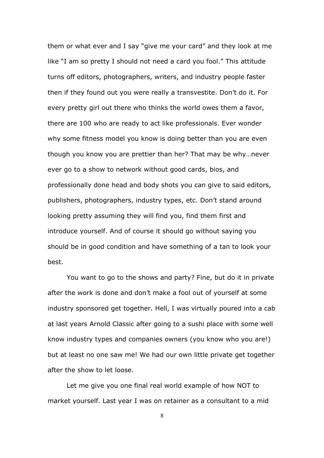them or what ever and I say "give me your card" and they look at me like "I am so pretty I should not need a card you fool." This attitude turns off editors, photographers, writers, and industry people faster then if they found out you were really a transvestite. Don't do it. For every pretty girl out there who thinks the world owes them a favor, there are 100 who are ready to act like professionals. Ever wonder why some fitness model you know is doing better than you are even though you know you are prettier than her? That may be why…never ever go to a show to network without good cards, bios, and professionally done head and body shots you can give to said editors, publishers, photographers, industry types, etc. Don't stand around looking pretty assuming they will find you, find them first and introduce yourself. And of course it should go without saying you should be in good condition and have something of a tan to look your best.

You want to go to the shows and party? Fine, but do it in private after the work is done and don't make a fool out of yourself at some industry sponsored get together. Hell, I was virtually poured into a cab at last years Arnold Classic after going to a sushi place with some well know industry types and companies owners (you know who you are!) but at least no one saw me! We had our own little private get together after the show to let loose.

Let me give you one final real world example of how NOT to market yourself. Last year I was on retainer as a consultant to a mid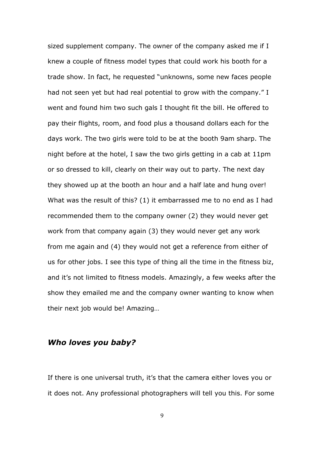sized supplement company. The owner of the company asked me if I knew a couple of fitness model types that could work his booth for a trade show. In fact, he requested "unknowns, some new faces people had not seen yet but had real potential to grow with the company." I went and found him two such gals I thought fit the bill. He offered to pay their flights, room, and food plus a thousand dollars each for the days work. The two girls were told to be at the booth 9am sharp. The night before at the hotel, I saw the two girls getting in a cab at 11pm or so dressed to kill, clearly on their way out to party. The next day they showed up at the booth an hour and a half late and hung over! What was the result of this? (1) it embarrassed me to no end as I had recommended them to the company owner (2) they would never get work from that company again (3) they would never get any work from me again and (4) they would not get a reference from either of us for other jobs. I see this type of thing all the time in the fitness biz, and it's not limited to fitness models. Amazingly, a few weeks after the show they emailed me and the company owner wanting to know when their next job would be! Amazing…

# *Who loves you baby?*

If there is one universal truth, it's that the camera either loves you or it does not. Any professional photographers will tell you this. For some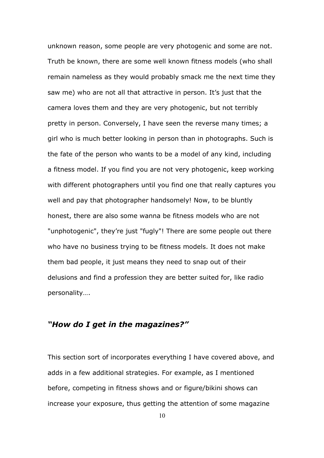unknown reason, some people are very photogenic and some are not. Truth be known, there are some well known fitness models (who shall remain nameless as they would probably smack me the next time they saw me) who are not all that attractive in person. It's just that the camera loves them and they are very photogenic, but not terribly pretty in person. Conversely, I have seen the reverse many times; a girl who is much better looking in person than in photographs. Such is the fate of the person who wants to be a model of any kind, including a fitness model. If you find you are not very photogenic, keep working with different photographers until you find one that really captures you well and pay that photographer handsomely! Now, to be bluntly honest, there are also some wanna be fitness models who are not "unphotogenic", they're just "fugly"! There are some people out there who have no business trying to be fitness models. It does not make them bad people, it just means they need to snap out of their delusions and find a profession they are better suited for, like radio personality….

# *"How do I get in the magazines?"*

This section sort of incorporates everything I have covered above, and adds in a few additional strategies. For example, as I mentioned before, competing in fitness shows and or figure/bikini shows can increase your exposure, thus getting the attention of some magazine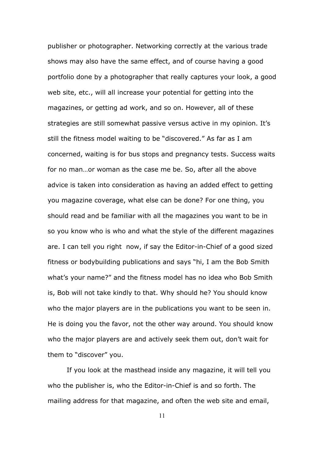publisher or photographer. Networking correctly at the various trade shows may also have the same effect, and of course having a good portfolio done by a photographer that really captures your look, a good web site, etc., will all increase your potential for getting into the magazines, or getting ad work, and so on. However, all of these strategies are still somewhat passive versus active in my opinion. It's still the fitness model waiting to be "discovered." As far as I am concerned, waiting is for bus stops and pregnancy tests. Success waits for no man…or woman as the case me be. So, after all the above advice is taken into consideration as having an added effect to getting you magazine coverage, what else can be done? For one thing, you should read and be familiar with all the magazines you want to be in so you know who is who and what the style of the different magazines are. I can tell you right now, if say the Editor-in-Chief of a good sized fitness or bodybuilding publications and says "hi, I am the Bob Smith what's your name?" and the fitness model has no idea who Bob Smith is, Bob will not take kindly to that. Why should he? You should know who the major players are in the publications you want to be seen in. He is doing you the favor, not the other way around. You should know who the major players are and actively seek them out, don't wait for them to "discover" you.

If you look at the masthead inside any magazine, it will tell you who the publisher is, who the Editor-in-Chief is and so forth. The mailing address for that magazine, and often the web site and email,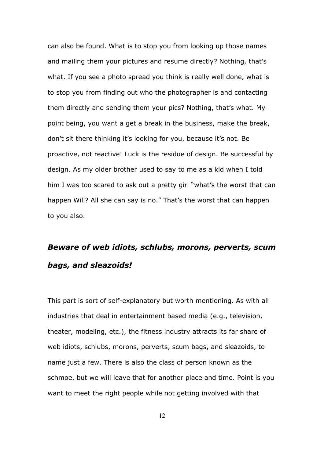can also be found. What is to stop you from looking up those names and mailing them your pictures and resume directly? Nothing, that's what. If you see a photo spread you think is really well done, what is to stop you from finding out who the photographer is and contacting them directly and sending them your pics? Nothing, that's what. My point being, you want a get a break in the business, make the break, don't sit there thinking it's looking for you, because it's not. Be proactive, not reactive! Luck is the residue of design. Be successful by design. As my older brother used to say to me as a kid when I told him I was too scared to ask out a pretty girl "what's the worst that can happen Will? All she can say is no." That's the worst that can happen to you also.

# *Beware of web idiots, schlubs, morons, perverts, scum bags, and sleazoids!*

This part is sort of self-explanatory but worth mentioning. As with all industries that deal in entertainment based media (e.g., television, theater, modeling, etc.), the fitness industry attracts its far share of web idiots, schlubs, morons, perverts, scum bags, and sleazoids, to name just a few. There is also the class of person known as the schmoe, but we will leave that for another place and time. Point is you want to meet the right people while not getting involved with that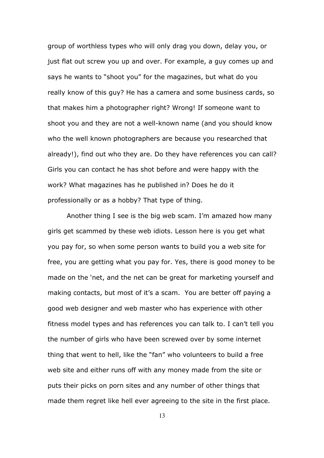group of worthless types who will only drag you down, delay you, or just flat out screw you up and over. For example, a guy comes up and says he wants to "shoot you" for the magazines, but what do you really know of this guy? He has a camera and some business cards, so that makes him a photographer right? Wrong! If someone want to shoot you and they are not a well-known name (and you should know who the well known photographers are because you researched that already!), find out who they are. Do they have references you can call? Girls you can contact he has shot before and were happy with the work? What magazines has he published in? Does he do it professionally or as a hobby? That type of thing.

Another thing I see is the big web scam. I'm amazed how many girls get scammed by these web idiots. Lesson here is you get what you pay for, so when some person wants to build you a web site for free, you are getting what you pay for. Yes, there is good money to be made on the 'net, and the net can be great for marketing yourself and making contacts, but most of it's a scam. You are better off paying a good web designer and web master who has experience with other fitness model types and has references you can talk to. I can't tell you the number of girls who have been screwed over by some internet thing that went to hell, like the "fan" who volunteers to build a free web site and either runs off with any money made from the site or puts their picks on porn sites and any number of other things that made them regret like hell ever agreeing to the site in the first place.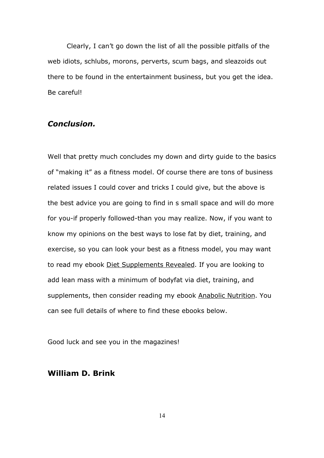Clearly, I can't go down the list of all the possible pitfalls of the web idiots, schlubs, morons, perverts, scum bags, and sleazoids out there to be found in the entertainment business, but you get the idea. Be careful!

## *Conclusion.*

Well that pretty much concludes my down and dirty guide to the basics of "making it" as a fitness model. Of course there are tons of business related issues I could cover and tricks I could give, but the above is the best advice you are going to find in s small space and will do more for you-if properly followed-than you may realize. Now, if you want to know my opinions on the best ways to lose fat by diet, training, and exercise, so you can look your best as a fitness model, you may want to read my ebook Diet Supplements Revealed. If you are looking to add lean mass with a minimum of bodyfat via diet, training, and supplements, then consider reading my ebook Anabolic Nutrition. You can see full details of where to find these ebooks below.

Good luck and see you in the magazines!

# **William D. Brink**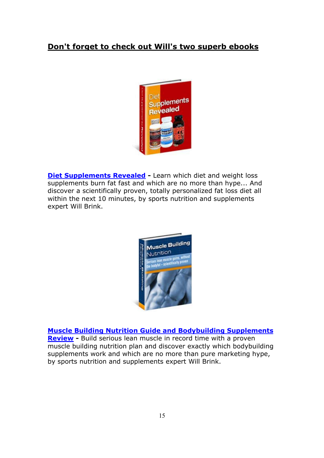# **Don't forget to check out Will's two superb ebooks**



**[Diet Supplements Revealed](http://www.aboutsupplements.com/cgi/at.cgi?a=247018) - Learn which diet and weight loss** supplements burn fat fast and which are no more than hype... And discover a scientifically proven, totally personalized fat loss diet all within the next 10 minutes, by sports nutrition and supplements expert Will Brink.



**[Muscle Building Nutrition Guide and Bodybuilding Supplements](http://musclebuildingnutrition.com/cgi/at.cgi?a=247018) [Review](http://musclebuildingnutrition.com/cgi/at.cgi?a=247018) -** Build serious lean muscle in record time with a proven muscle building nutrition plan and discover exactly which bodybuilding supplements work and which are no more than pure marketing hype, by sports nutrition and supplements expert Will Brink.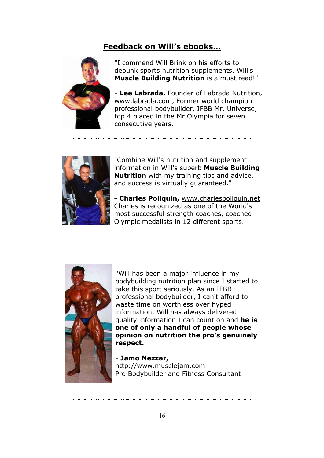# **Feedback on Will's ebooks…**



"I commend Will Brink on his efforts to debunk sports nutrition supplements. Will's **Muscle Building Nutrition** is a must read!"

**- Lee Labrada,** Founder of Labrada Nutrition, www.labrada.com, Former world champion professional bodybuilder, IFBB Mr. Universe, top 4 placed in the Mr.Olympia for seven consecutive years.



"Combine Will's nutrition and supplement information in Will's superb **Muscle Building Nutrition** with my training tips and advice, and success is virtually guaranteed."

**- Charles Poliquin,** www.charlespoliquin.net Charles is recognized as one of the World's most successful strength coaches, coached Olympic medalists in 12 different sports.



"Will has been a major influence in my bodybuilding nutrition plan since I started to take this sport seriously. As an IFBB professional bodybuilder, I can't afford to waste time on worthless over hyped information. Will has always delivered quality information I can count on and **he is one of only a handful of people whose opinion on nutrition the pro's genuinely respect.**

**- Jamo Nezzar,**  http://www.musclejam.com Pro Bodybuilder and Fitness Consultant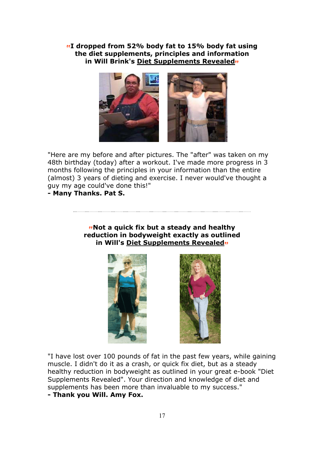**I dropped from 52% body fat to 15% body fat using the diet supplements, principles and information in Will Brink's Diet Supplements Revealed**



"Here are my before and after pictures. The "after" was taken on my 48th birthday (today) after a workout. I've made more progress in 3 months following the principles in your information than the entire (almost) 3 years of dieting and exercise. I never would've thought a guy my age could've done this!"

**- Many Thanks. Pat S.** 

## **Mot a quick fix but a steady and healthy reduction in bodyweight exactly as outlined in Will's Diet Supplements Revealed**





"I have lost over 100 pounds of fat in the past few years, while gaining muscle. I didn't do it as a crash, or quick fix diet, but as a steady healthy reduction in bodyweight as outlined in your great e-book "Diet Supplements Revealed". Your direction and knowledge of diet and supplements has been more than invaluable to my success." **- Thank you Will. Amy Fox.**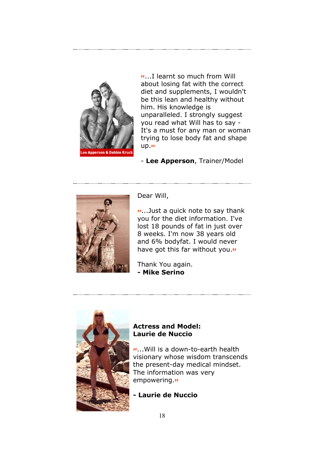

...I learnt so much from Will about losing fat with the correct diet and supplements, I wouldn't be this lean and healthy without him. His knowledge is unparalleled. I strongly suggest you read what Will has to say - It's a must for any man or woman trying to lose body fat and shape  $up.$ "

- **Lee Apperson**, Trainer/Model



Dear Will,

...Just a quick note to say thank you for the diet information. I've lost 18 pounds of fat in just over 8 weeks. I'm now 38 years old and 6% bodyfat. I would never have got this far without you."

Thank You again. **- Mike Serino**



## **Actress and Model: Laurie de Nuccio**

...Will is a down-to-earth health visionary whose wisdom transcends the present-day medical mindset. The information was very empowering."

# **- Laurie de Nuccio**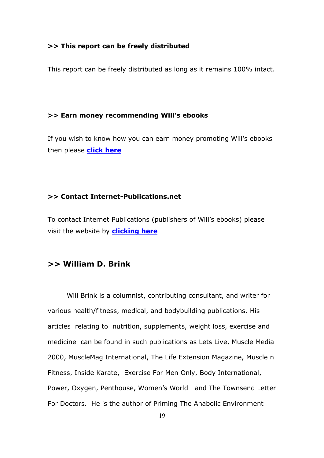### **>> This report can be freely distributed**

This report can be freely distributed as long as it remains 100% intact.

#### **>> Earn money recommending Will's ebooks**

If you wish to know how you can earn money promoting Will's ebooks then please **[click here](http://www.aboutsupplements.com/affiliates/affiliateinfo.html)**

#### **>> Contact Internet-Publications.net**

To contact Internet Publications (publishers of Will's ebooks) please visit the website by **[clicking here](http://internet-publications.net/helpdesk/)**

# **>> William D. Brink**

 Will Brink is a columnist, contributing consultant, and writer for various health/fitness, medical, and bodybuilding publications. His articles relating to nutrition, supplements, weight loss, exercise and medicine can be found in such publications as Lets Live, Muscle Media 2000, MuscleMag International, The Life Extension Magazine, Muscle n Fitness, Inside Karate, Exercise For Men Only, Body International, Power, Oxygen, Penthouse, Women's World and The Townsend Letter For Doctors. He is the author of Priming The Anabolic Environment